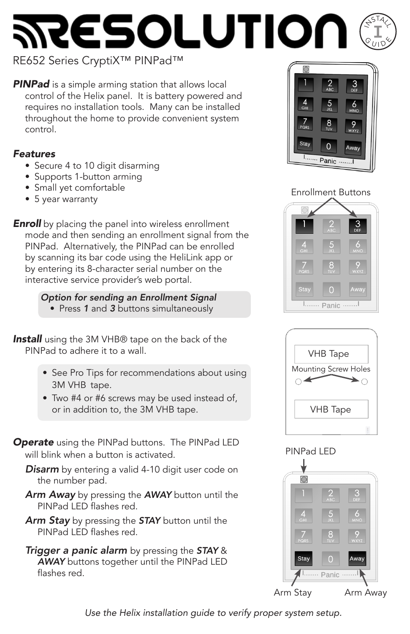### **ESOLUTIO**  $S^{574}$ **I** $\mathcal{S}\bar{\mathbf{u}}$ -<br>Idy

# RE652 Series CryptiX™ PINPad™

**PINPad** is a simple arming station that allows local control of the Helix panel. It is battery powered and requires no installation tools. Many can be installed throughout the home to provide convenient system control.

## *Features*

- Secure 4 to 10 digit disarming
- Supports 1-button arming
- Small yet comfortable
- 5 year warranty

**Enroll** by placing the panel into wireless enrollment mode and then sending an enrollment signal from the PINPad. Alternatively, the PINPad can be enrolled by scanning its bar code using the HeliLink app or by entering its 8-character serial number on the interactive service provider's web portal.

## *Option for sending an Enrollment Signal*

• Press *1* and *3* buttons simultaneously

**Install** using the 3M VHB® tape on the back of the PINPad to adhere it to a wall.

- See Pro Tips for recommendations about using 3M VHB tape.
- Two #4 or #6 screws may be used instead of, or in addition to, the 3M VHB tape.
- *Operate* using the PINPad buttons. The PINPad LED will blink when a button is activated.

*Disarm* by entering a valid 4-10 digit user code on the number pad.

- *Arm Away* by pressing the *AWAY* button until the PINPad LED flashes red.
- *Arm Stay* by pressing the *STAY* button until the PINPad LED flashes red.
- *Trigger a panic alarm* by pressing the *STAY* & *AWAY* buttons together until the PINPad LED flashes red.



# Enrollment Buttons





# PINPad LED



*Use the Helix installation guide to verify proper system setup.*